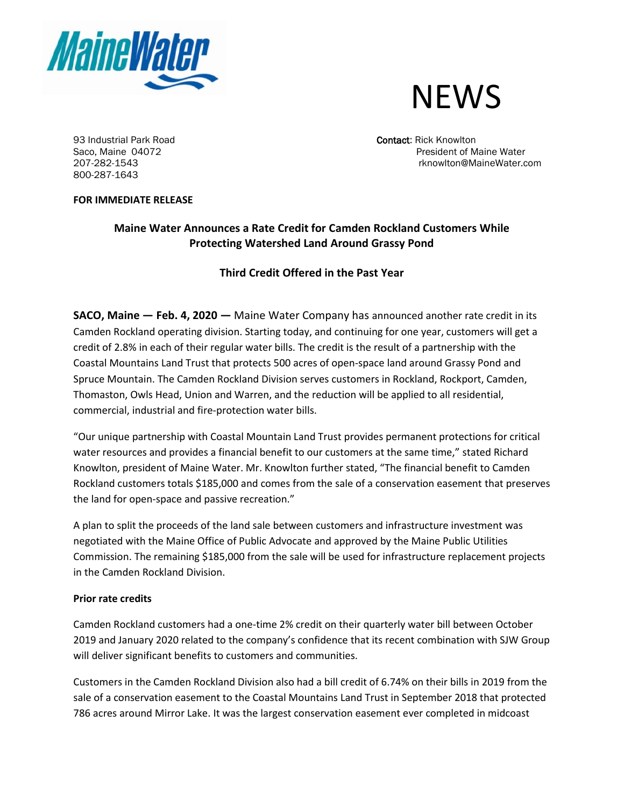



93 Industrial Park Road Contact: Rick Knowlton Contact: Rick Knowlton 800-287-1643

Saco, Maine 04072 **President of Maine Water** 207-282-1543 rknowlton@MaineWater.com

## **FOR IMMEDIATE RELEASE**

# **Maine Water Announces a Rate Credit for Camden Rockland Customers While Protecting Watershed Land Around Grassy Pond**

# **Third Credit Offered in the Past Year**

**SACO, Maine — Feb. 4, 2020 —** Maine Water Company has announced another rate credit in its Camden Rockland operating division. Starting today, and continuing for one year, customers will get a credit of 2.8% in each of their regular water bills. The credit is the result of a partnership with the Coastal Mountains Land Trust that protects 500 acres of open-space land around Grassy Pond and Spruce Mountain. The Camden Rockland Division serves customers in Rockland, Rockport, Camden, Thomaston, Owls Head, Union and Warren, and the reduction will be applied to all residential, commercial, industrial and fire-protection water bills.

"Our unique partnership with Coastal Mountain Land Trust provides permanent protections for critical water resources and provides a financial benefit to our customers at the same time," stated Richard Knowlton, president of Maine Water. Mr. Knowlton further stated, "The financial benefit to Camden Rockland customers totals \$185,000 and comes from the sale of a conservation easement that preserves the land for open-space and passive recreation."

A plan to split the proceeds of the land sale between customers and infrastructure investment was negotiated with the Maine Office of Public Advocate and approved by the Maine Public Utilities Commission. The remaining \$185,000 from the sale will be used for infrastructure replacement projects in the Camden Rockland Division.

## **Prior rate credits**

Camden Rockland customers had a one-time 2% credit on their quarterly water bill between October 2019 and January 2020 related to the company's confidence that its recent combination with SJW Group will deliver significant benefits to customers and communities.

Customers in the Camden Rockland Division also had a bill credit of 6.74% on their bills in 2019 from the sale of a conservation easement to the Coastal Mountains Land Trust in September 2018 that protected 786 acres around Mirror Lake. It was the largest conservation easement ever completed in midcoast